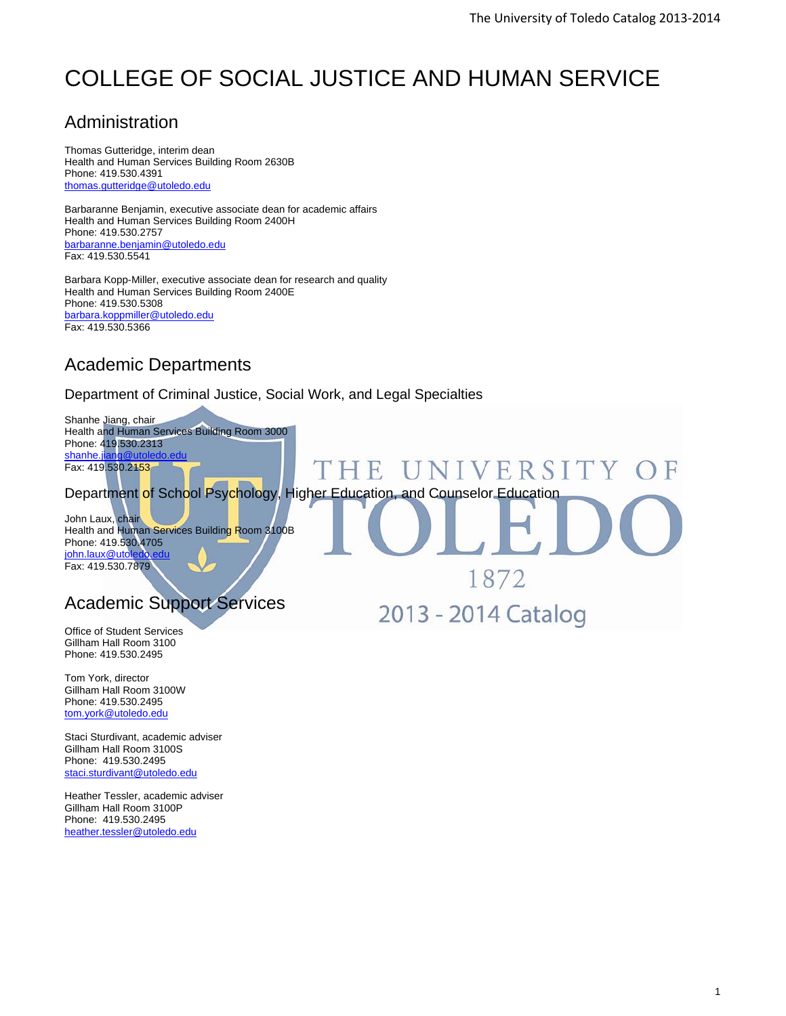# COLLEGE OF SOCIAL JUSTICE AND HUMAN SERVICE

# Administration

Thomas Gutteridge, interim dean Health and Human Services Building Room 2630B Phone: 419.530.4391 thomas.gutteridge@utoledo.edu

Barbaranne Benjamin, executive associate dean for academic affairs Health and Human Services Building Room 2400H Phone: 419.530.2757 barbaranne.benjamin@utoledo.edu Fax: 419.530.5541

Barbara Kopp-Miller, executive associate dean for research and quality Health and Human Services Building Room 2400E Phone: 419.530.5308 barbara.koppmiller@utoledo.edu Fax: 419.530.5366

# Academic Departments

### Department of Criminal Justice, Social Work, and Legal Specialties

Shanhe Jiang, chair Health and Human Services Building Room 3000 Phone: 419.530.2313 shanhe. Fax: 419.530.2153

Department of School Psychology, Higher Education, and Counselor Education

 $H$ 

**INTERNATIONAL** 

John Laux, chair Health and Human Services Building Room 3100B Phone: 419.530.4705 john.laux@utol Fax: 419.530.7879

# Academic Support Services

Office of Student Services Gillham Hall Room 3100 Phone: 419.530.2495

Tom York, director Gillham Hall Room 3100W Phone: 419.530.2495 tom.york@utoledo.edu

Staci Sturdivant, academic adviser Gillham Hall Room 3100S Phone: 419.530.2495 staci.sturdivant@utoledo.edu

Heather Tessler, academic adviser Gillham Hall Room 3100P Phone: 419.530.2495 heather.tessler@utoledo.edu

1872

NIVERSITY

2013 - 2014 Catalog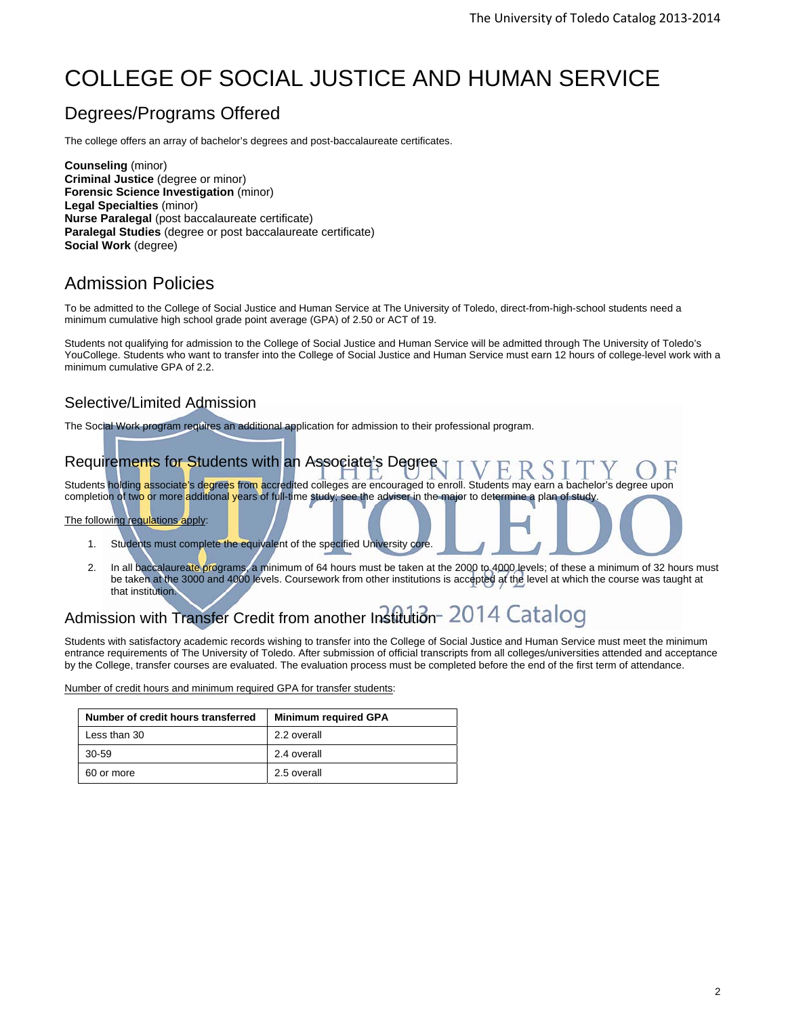# COLLEGE OF SOCIAL JUSTICE AND HUMAN SERVICE

# Degrees/Programs Offered

The college offers an array of bachelor's degrees and post-baccalaureate certificates.

**Counseling** (minor) **Criminal Justice** (degree or minor) **Forensic Science Investigation** (minor) **Legal Specialties** (minor) **Nurse Paralegal** (post baccalaureate certificate) **Paralegal Studies** (degree or post baccalaureate certificate) **Social Work** (degree)

# Admission Policies

To be admitted to the College of Social Justice and Human Service at The University of Toledo, direct-from-high-school students need a minimum cumulative high school grade point average (GPA) of 2.50 or ACT of 19.

Students not qualifying for admission to the College of Social Justice and Human Service will be admitted through The University of Toledo's YouCollege. Students who want to transfer into the College of Social Justice and Human Service must earn 12 hours of college-level work with a minimum cumulative GPA of 2.2.

# Selective/Limited Admission

The Social Work program requires an additional application for admission to their professional program.

# Requirements for Students with an Associate's Degree

Students holding associate's degrees from accredited colleges are encouraged to enroll. Students may earn a bachelor's degree upon completion of tw<mark>o o</mark>r more additional years of full-time study; see the adviser in the major to determine a plan of study.

The following regulations apply:

- 1. Students must complete the equivalent of the specified University core.
- 2. In all baccalaureate programs, a minimum of 64 hours must be taken at the 2000 to 4000 levels; of these a minimum of 32 hours must be taken at the 3000 and 4000 levels. Coursework from other institutions is accepted at the level at which the course was taught at that institution.

# Admission with Transfer Credit from another Institution-2014 Catalog

Students with satisfactory academic records wishing to transfer into the College of Social Justice and Human Service must meet the minimum entrance requirements of The University of Toledo. After submission of official transcripts from all colleges/universities attended and acceptance by the College, transfer courses are evaluated. The evaluation process must be completed before the end of the first term of attendance.

Number of credit hours and minimum required GPA for transfer students:

| Number of credit hours transferred | <b>Minimum required GPA</b> |
|------------------------------------|-----------------------------|
| Less than 30                       | 2.2 overall                 |
| 30-59                              | 2.4 overall                 |
| 60 or more                         | 2.5 overall                 |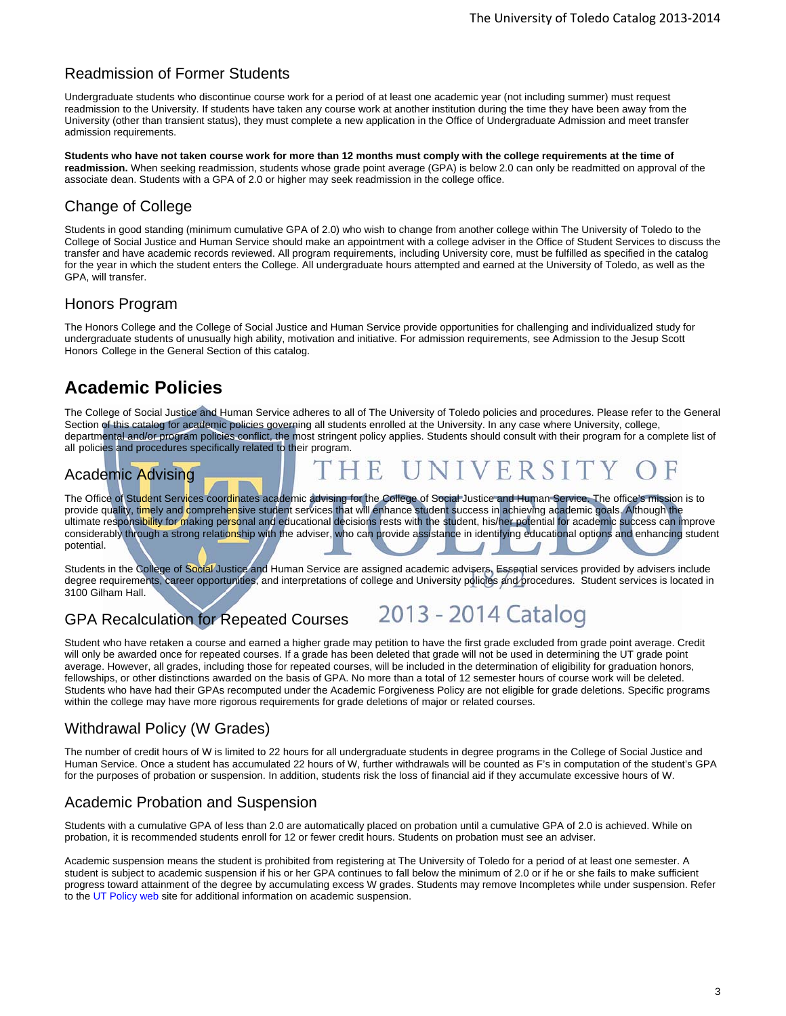### Readmission of Former Students

Undergraduate students who discontinue course work for a period of at least one academic year (not including summer) must request readmission to the University. If students have taken any course work at another institution during the time they have been away from the University (other than transient status), they must complete a new application in the Office of Undergraduate Admission and meet transfer admission requirements.

**Students who have not taken course work for more than 12 months must comply with the college requirements at the time of readmission.** When seeking readmission, students whose grade point average (GPA) is below 2.0 can only be readmitted on approval of the associate dean. Students with a GPA of 2.0 or higher may seek readmission in the college office.

## Change of College

Students in good standing (minimum cumulative GPA of 2.0) who wish to change from another college within The University of Toledo to the College of Social Justice and Human Service should make an appointment with a college adviser in the Office of Student Services to discuss the transfer and have academic records reviewed. All program requirements, including University core, must be fulfilled as specified in the catalog for the year in which the student enters the College. All undergraduate hours attempted and earned at the University of Toledo, as well as the GPA, will transfer.

#### Honors Program

The Honors College and the College of Social Justice and Human Service provide opportunities for challenging and individualized study for undergraduate students of unusually high ability, motivation and initiative. For admission requirements, see Admission to the Jesup Scott Honors College in the General Section of this catalog.

# **Academic Policies**

The College of Social Justice and Human Service adheres to all of The University of Toledo policies and procedures. Please refer to the General Section of this catalog for academic policies governing all students enrolled at the University. In any case where University, college, departmental and/or program policies conflict, the most stringent policy applies. Students should consult with their program for a complete list of all policies and procedures specifically related to their program.

# Academic Advising

The Office of Student Services coordinates academic advising for the College of Social Justice and Human Service. The office's mission is to provide quality, timely and comprehensive student services that will enhance student success in achieving academic goals. Although the ultimate responsibility for making personal and educational decisions rests with the student, his/her potential for academic success can improve considerably through a strong relationship with the adviser, who can provide assistance in identifying educational options and enhancing student potential.

Students in the College of Social Justice and Human Service are assigned academic advisers. Essential services provided by advisers include degree requirements, career opportunities, and interpretations of college and University policies and procedures. Student services is located in 3100 Gilham Hall.

## GPA Recalculation for Repeated Courses



Student who have retaken a course and earned a higher grade may petition to have the first grade excluded from grade point average. Credit will only be awarded once for repeated courses. If a grade has been deleted that grade will not be used in determining the UT grade point average. However, all grades, including those for repeated courses, will be included in the determination of eligibility for graduation honors, fellowships, or other distinctions awarded on the basis of GPA. No more than a total of 12 semester hours of course work will be deleted. Students who have had their GPAs recomputed under the Academic Forgiveness Policy are not eligible for grade deletions. Specific programs within the college may have more rigorous requirements for grade deletions of major or related courses.

### Withdrawal Policy (W Grades)

The number of credit hours of W is limited to 22 hours for all undergraduate students in degree programs in the College of Social Justice and Human Service. Once a student has accumulated 22 hours of W, further withdrawals will be counted as F's in computation of the student's GPA for the purposes of probation or suspension. In addition, students risk the loss of financial aid if they accumulate excessive hours of W.

#### Academic Probation and Suspension

Students with a cumulative GPA of less than 2.0 are automatically placed on probation until a cumulative GPA of 2.0 is achieved. While on probation, it is recommended students enroll for 12 or fewer credit hours. Students on probation must see an adviser.

Academic suspension means the student is prohibited from registering at The University of Toledo for a period of at least one semester. A student is subject to academic suspension if his or her GPA continues to fall below the minimum of 2.0 or if he or she fails to make sufficient progress toward attainment of the degree by accumulating excess W grades. Students may remove Incompletes while under suspension. Refer to the UT Policy web site for additional information on academic suspension.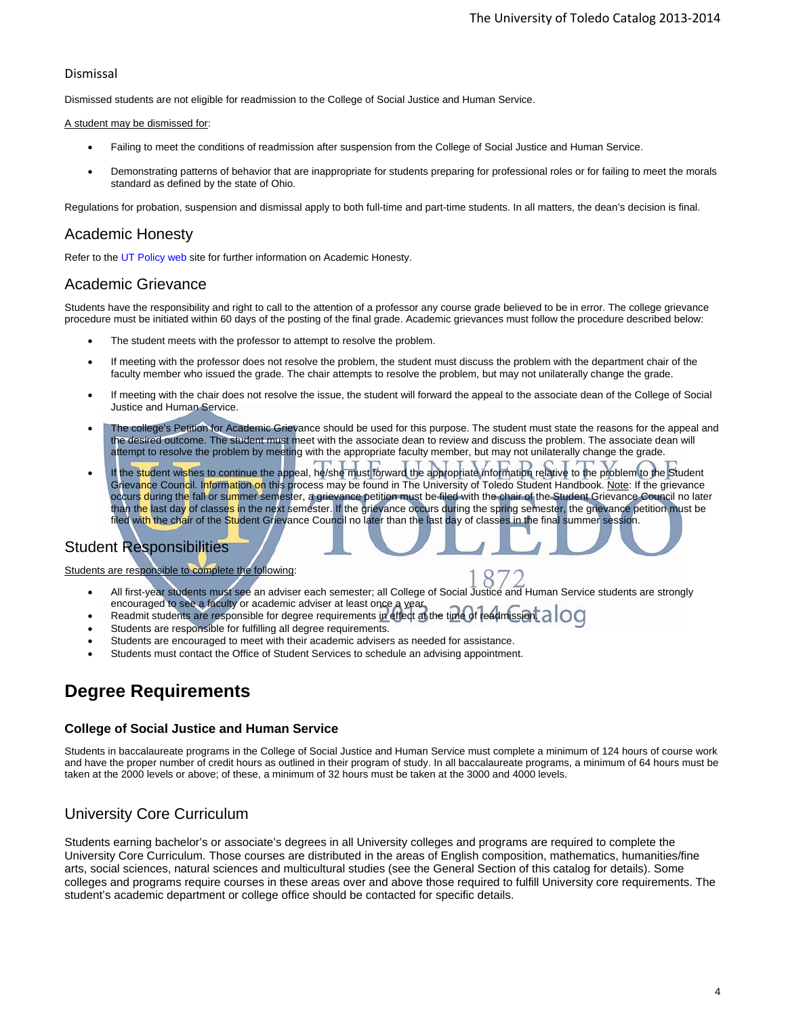#### Dismissal

Dismissed students are not eligible for readmission to the College of Social Justice and Human Service.

#### A student may be dismissed for:

- Failing to meet the conditions of readmission after suspension from the College of Social Justice and Human Service.
- Demonstrating patterns of behavior that are inappropriate for students preparing for professional roles or for failing to meet the morals standard as defined by the state of Ohio.

Regulations for probation, suspension and dismissal apply to both full-time and part-time students. In all matters, the dean's decision is final.

#### Academic Honesty

Refer to the UT Policy web site for further information on Academic Honesty.

#### Academic Grievance

Students have the responsibility and right to call to the attention of a professor any course grade believed to be in error. The college grievance procedure must be initiated within 60 days of the posting of the final grade. Academic grievances must follow the procedure described below:

- The student meets with the professor to attempt to resolve the problem.
- If meeting with the professor does not resolve the problem, the student must discuss the problem with the department chair of the faculty member who issued the grade. The chair attempts to resolve the problem, but may not unilaterally change the grade.
- If meeting with the chair does not resolve the issue, the student will forward the appeal to the associate dean of the College of Social Justice and Human Service.
- The college's Petition for Academic Grievance should be used for this purpose. The student must state the reasons for the appeal and the desired outcome. The student must meet with the associate dean to review and discuss the problem. The associate dean will attempt to resolve the problem by meeting with the appropriate faculty member, but may not unilaterally change the grade.
- If the student wishes to continue the appeal, he/she must forward the appropriate information relative to the problem to the Student Grievance Council. Information on this process may be found in The University of Toledo Student Handbook. Note: If the grievance occurs during the fall or summer semester, a grievance petition must be filed with the chair of the Student Grievance Council no later than the last day of classes in the next semester. If the grievance occurs during the spring semester, the grievance petition must be filed with the chair of the Student Grievance Council no later than the last day of classes in the final summer session.

#### Student Responsibilities

Students are responsible to complete the following:

- All first-year students must see an adviser each semester; all College of Social Justice and Human Service students are strongly encouraged to see a faculty or academic adviser at least once a year.
- Readmit students are responsible for degree requirements in effect at the time of readmission.
- Students are responsible for fulfilling all degree requirements.
- Students are encouraged to meet with their academic advisers as needed for assistance.
- Students must contact the Office of Student Services to schedule an advising appointment.

# **Degree Requirements**

#### **College of Social Justice and Human Service**

Students in baccalaureate programs in the College of Social Justice and Human Service must complete a minimum of 124 hours of course work and have the proper number of credit hours as outlined in their program of study. In all baccalaureate programs, a minimum of 64 hours must be taken at the 2000 levels or above; of these, a minimum of 32 hours must be taken at the 3000 and 4000 levels.

#### University Core Curriculum

Students earning bachelor's or associate's degrees in all University colleges and programs are required to complete the University Core Curriculum. Those courses are distributed in the areas of English composition, mathematics, humanities/fine arts, social sciences, natural sciences and multicultural studies (see the General Section of this catalog for details). Some colleges and programs require courses in these areas over and above those required to fulfill University core requirements. The student's academic department or college office should be contacted for specific details.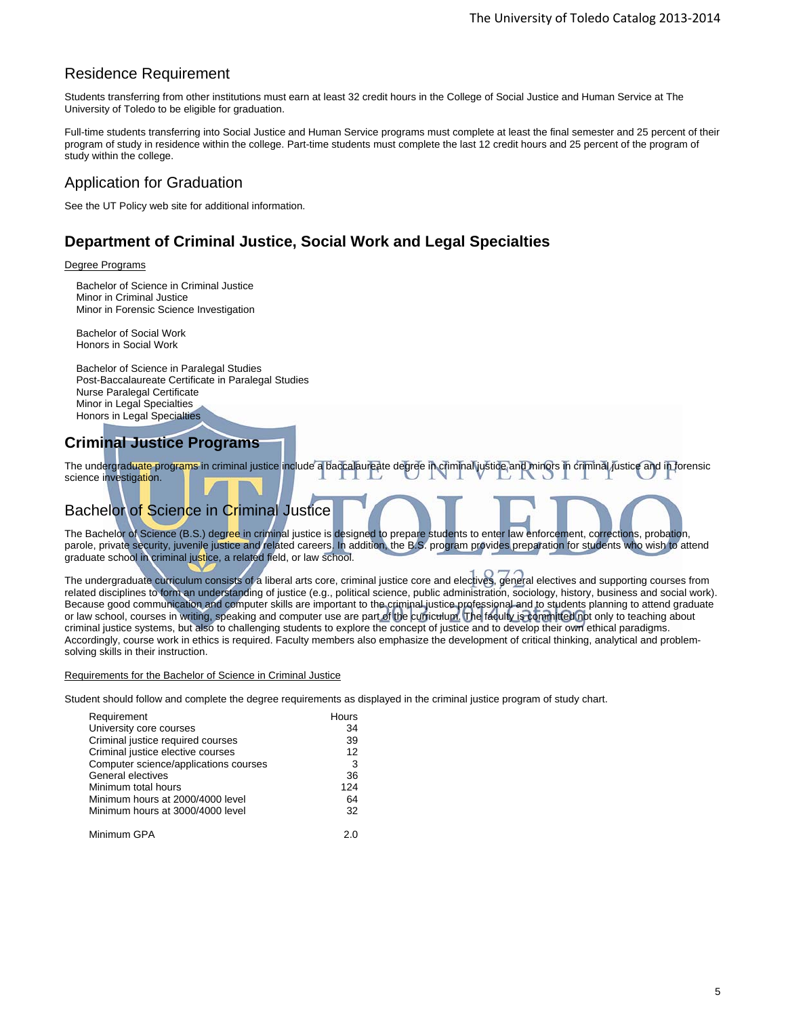### Residence Requirement

Students transferring from other institutions must earn at least 32 credit hours in the College of Social Justice and Human Service at The University of Toledo to be eligible for graduation.

Full-time students transferring into Social Justice and Human Service programs must complete at least the final semester and 25 percent of their program of study in residence within the college. Part-time students must complete the last 12 credit hours and 25 percent of the program of study within the college.

## Application for Graduation

See the UT Policy web site for additional information.

# **Department of Criminal Justice, Social Work and Legal Specialties**

#### Degree Programs

Bachelor of Science in Criminal Justice Minor in Criminal Justice Minor in Forensic Science Investigation

Bachelor of Social Work Honors in Social Work

Bachelor of Science in Paralegal Studies Post-Baccalaureate Certificate in Paralegal Studies Nurse Paralegal Certificate Minor in Legal Specialties Honors in Legal Specialties

# **Criminal Justice Programs**

The undergraduate programs in criminal justice include a baccalaureate degree in criminal justice and minors in criminal justice and in forensic science investigation.

# Bachelor of Science in Criminal Justice

The Bachelor of Science (B.S.) degree in criminal justice is designed to prepare students to enter law enforcement, corrections, probation, parole, private security, juvenile justice and related careers. In addition, the B.S. program provides preparation for students who wish to attend graduate school in criminal justice, a related field, or law school.

The undergraduate curriculum consists of a liberal arts core, criminal justice core and electives, general electives and supporting courses from related disciplines to form an understanding of justice (e.g., political science, public administration, sociology, history, business and social work). Because good communication and computer skills are important to the criminal justice professional and to students planning to attend graduate or law school, courses in writing, speaking and computer use are part of the curriculum. The faculty is committed not only to teaching about criminal justice systems, but also to challenging students to explore the concept of justice and to develop their own ethical paradigms. Accordingly, course work in ethics is required. Faculty members also emphasize the development of critical thinking, analytical and problemsolving skills in their instruction.

#### Requirements for the Bachelor of Science in Criminal Justice

Student should follow and complete the degree requirements as displayed in the criminal justice program of study chart.

| Requirement                           | Hours |
|---------------------------------------|-------|
| University core courses               | 34    |
| Criminal justice required courses     | 39    |
| Criminal justice elective courses     | 12    |
| Computer science/applications courses | 3     |
| General electives                     | 36    |
| Minimum total hours                   | 124   |
| Minimum hours at 2000/4000 level      | 64    |
| Minimum hours at 3000/4000 level      | 32    |
| Minimum GPA                           | 20    |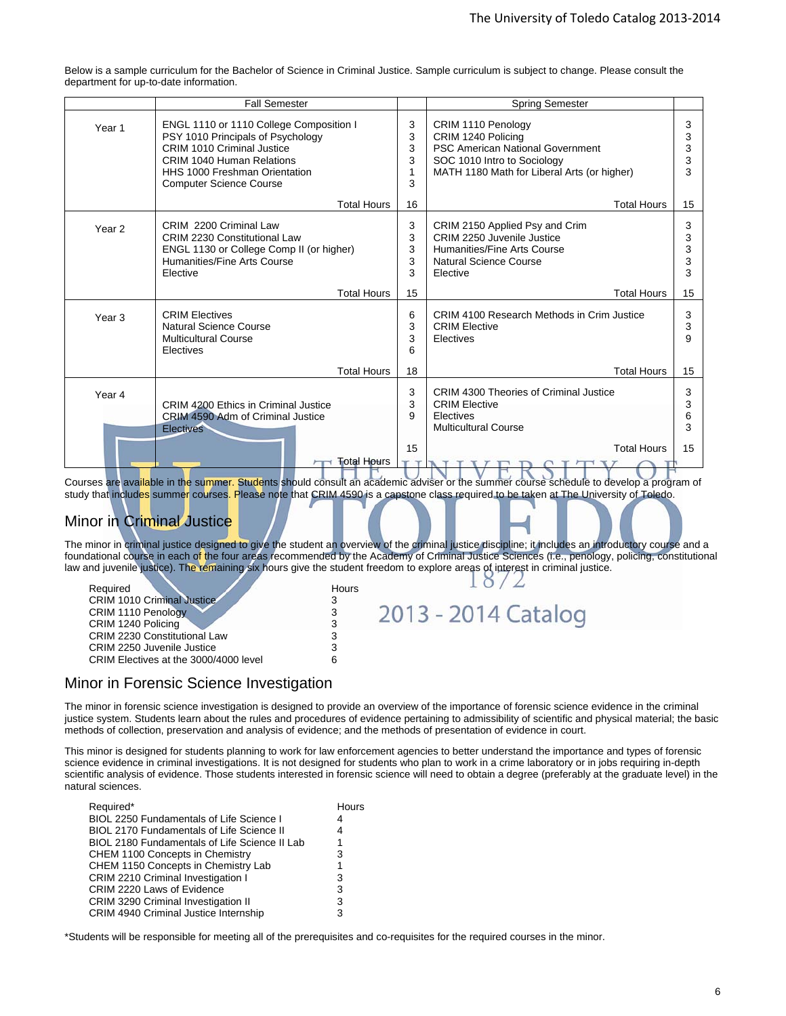Below is a sample curriculum for the Bachelor of Science in Criminal Justice. Sample curriculum is subject to change. Please consult the department for up-to-date information.

|                   | <b>Fall Semester</b>                                                                                                                                                                                                     |                       | <b>Spring Semester</b>                                                                                                                                            |                       |
|-------------------|--------------------------------------------------------------------------------------------------------------------------------------------------------------------------------------------------------------------------|-----------------------|-------------------------------------------------------------------------------------------------------------------------------------------------------------------|-----------------------|
| Year <sub>1</sub> | ENGL 1110 or 1110 College Composition I<br>PSY 1010 Principals of Psychology<br>CRIM 1010 Criminal Justice<br><b>CRIM 1040 Human Relations</b><br><b>HHS 1000 Freshman Orientation</b><br><b>Computer Science Course</b> | 3<br>3<br>3<br>3<br>3 | CRIM 1110 Penology<br>CRIM 1240 Policing<br><b>PSC American National Government</b><br>SOC 1010 Intro to Sociology<br>MATH 1180 Math for Liberal Arts (or higher) | 3<br>3<br>3<br>3<br>3 |
|                   | <b>Total Hours</b>                                                                                                                                                                                                       | 16                    | <b>Total Hours</b>                                                                                                                                                | 15                    |
| Year <sub>2</sub> | CRIM 2200 Criminal Law<br><b>CRIM 2230 Constitutional Law</b><br>ENGL 1130 or College Comp II (or higher)<br>Humanities/Fine Arts Course<br>Elective                                                                     | 3<br>3<br>3<br>3<br>3 | CRIM 2150 Applied Psy and Crim<br>CRIM 2250 Juvenile Justice<br>Humanities/Fine Arts Course<br>Natural Science Course<br>Elective                                 | 3<br>3<br>3<br>3<br>3 |
|                   | <b>Total Hours</b>                                                                                                                                                                                                       | 15                    | <b>Total Hours</b>                                                                                                                                                | 15                    |
| Year <sub>3</sub> | <b>CRIM Electives</b><br>Natural Science Course<br><b>Multicultural Course</b><br>Electives                                                                                                                              | 6<br>3<br>3<br>6      | CRIM 4100 Research Methods in Crim Justice<br><b>CRIM Elective</b><br>Electives                                                                                   | 3<br>3<br>9           |
|                   | <b>Total Hours</b>                                                                                                                                                                                                       | 18                    | <b>Total Hours</b>                                                                                                                                                | 15                    |
| Year 4            | CRIM 4200 Ethics in Criminal Justice<br>CRIM 4590 Adm of Criminal Justice<br><b>Electives</b>                                                                                                                            | 3<br>3<br>9           | CRIM 4300 Theories of Criminal Justice<br><b>CRIM Elective</b><br>Electives<br><b>Multicultural Course</b>                                                        | 3<br>3<br>6<br>3      |
|                   | <b>Total Hours</b>                                                                                                                                                                                                       | 15                    | <b>Total Hours</b><br>TITTT<br>$\mathbf{D}$<br>TTI<br>$\cap$ T                                                                                                    | 15                    |

Courses are available in the summer. Students should consult an academic adviser or the summer course schedule to develop a program of study that includes summer courses. Please note that CRIM 4590 is a capstone class required to be taken at The University of Toledo.

# **Minor in Criminal Justice**

The minor in criminal justice designed to give the student an overview of the criminal justice discipline; it includes an introductory course and a foundational course in each of the four areas recommended by the Academy of Criminal Justice Sciences (i.e., penology, policing, constitutional law and juvenile justice). The remaining six hours give the student freedom to explore areas of interest in criminal justice.

| Required                              | Hours |                     |
|---------------------------------------|-------|---------------------|
| <b>CRIM 1010 Criminal Justice</b>     |       |                     |
| CRIM 1110 Penology                    |       | 2013 - 2014 Catalog |
| CRIM 1240 Policing                    |       |                     |
| <b>CRIM 2230 Constitutional Law</b>   |       |                     |
| CRIM 2250 Juvenile Justice            |       |                     |
| CRIM Electives at the 3000/4000 level |       |                     |

#### Minor in Forensic Science Investigation

The minor in forensic science investigation is designed to provide an overview of the importance of forensic science evidence in the criminal justice system. Students learn about the rules and procedures of evidence pertaining to admissibility of scientific and physical material; the basic methods of collection, preservation and analysis of evidence; and the methods of presentation of evidence in court.

This minor is designed for students planning to work for law enforcement agencies to better understand the importance and types of forensic science evidence in criminal investigations. It is not designed for students who plan to work in a crime laboratory or in jobs requiring in-depth scientific analysis of evidence. Those students interested in forensic science will need to obtain a degree (preferably at the graduate level) in the natural sciences.

| Required*                                        | Hours |
|--------------------------------------------------|-------|
| <b>BIOL 2250 Fundamentals of Life Science I</b>  | 4     |
| <b>BIOL 2170 Fundamentals of Life Science II</b> | 4     |
| BIOL 2180 Fundamentals of Life Science II Lab    |       |
| CHEM 1100 Concepts in Chemistry                  | 3     |
| CHEM 1150 Concepts in Chemistry Lab              |       |
| CRIM 2210 Criminal Investigation I               | 3     |
| CRIM 2220 Laws of Evidence                       | 3     |
| <b>CRIM 3290 Criminal Investigation II</b>       | 3     |
| CRIM 4940 Criminal Justice Internship            | 3     |

\*Students will be responsible for meeting all of the prerequisites and co-requisites for the required courses in the minor.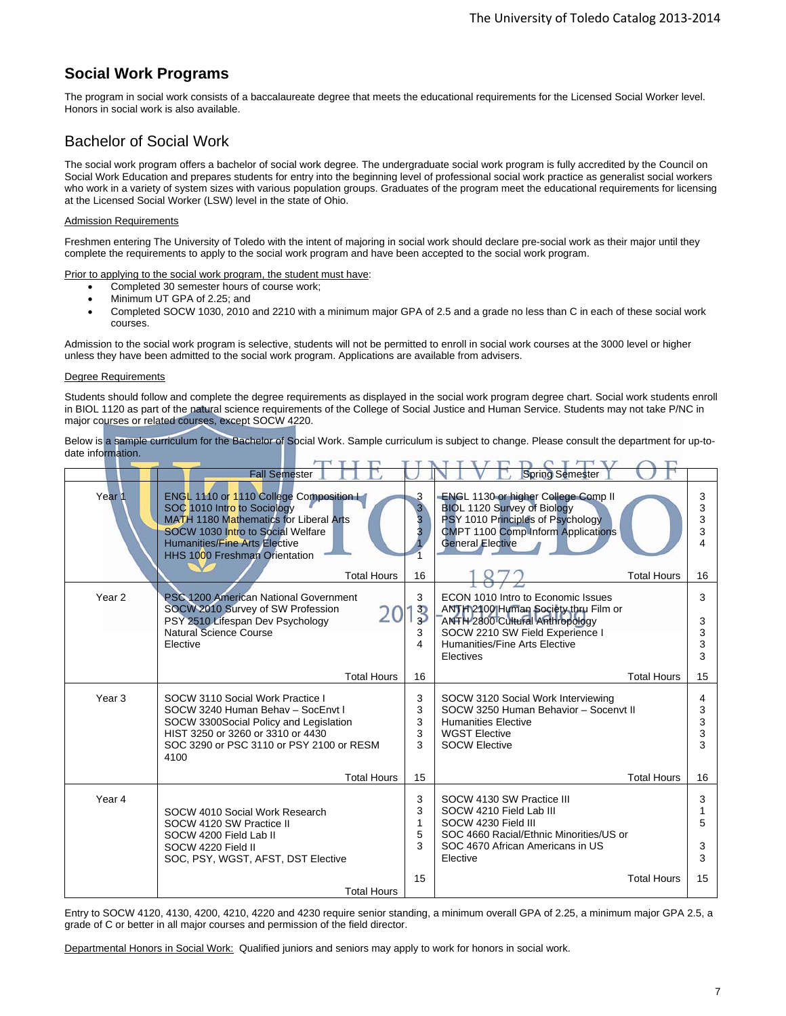### **Social Work Programs**

The program in social work consists of a baccalaureate degree that meets the educational requirements for the Licensed Social Worker level. Honors in social work is also available.

## Bachelor of Social Work

The social work program offers a bachelor of social work degree. The undergraduate social work program is fully accredited by the Council on Social Work Education and prepares students for entry into the beginning level of professional social work practice as generalist social workers who work in a variety of system sizes with various population groups. Graduates of the program meet the educational requirements for licensing at the Licensed Social Worker (LSW) level in the state of Ohio.

#### Admission Requirements

Freshmen entering The University of Toledo with the intent of majoring in social work should declare pre-social work as their major until they complete the requirements to apply to the social work program and have been accepted to the social work program.

Prior to applying to the social work program, the student must have:

- Completed 30 semester hours of course work;
- Minimum UT GPA of 2.25; and
- Completed SOCW 1030, 2010 and 2210 with a minimum major GPA of 2.5 and a grade no less than C in each of these social work courses.

Admission to the social work program is selective, students will not be permitted to enroll in social work courses at the 3000 level or higher unless they have been admitted to the social work program. Applications are available from advisers.

#### Degree Requirements

Students should follow and complete the degree requirements as displayed in the social work program degree chart. Social work students enroll in BIOL 1120 as part of the natural science requirements of the College of Social Justice and Human Service. Students may not take P/NC in major courses or related courses, except SOCW 4220.

Below is a sample curriculum for the Bachelor of Social Work. Sample curriculum is subject to change. Please consult the department for up-todate information.

|                   | <b>Fall Semester</b>                                                                                                                                                                                                                          |                                  | <b>Spring Semester</b>                                                                                                                                                                                |                       |
|-------------------|-----------------------------------------------------------------------------------------------------------------------------------------------------------------------------------------------------------------------------------------------|----------------------------------|-------------------------------------------------------------------------------------------------------------------------------------------------------------------------------------------------------|-----------------------|
| Year <sub>1</sub> | ENGL 1110 or 1110 College Composition La<br>SOC 1010 Intro to Sociology<br><b>MATH 1180 Mathematics for Liberal Arts</b><br>SOCW 1030 Intro to Social Welfare<br><b>Humanities/Fine Arts Elective</b><br><b>HHS 1000 Freshman Orientation</b> | 3<br>$\overline{3}$<br>3<br>3    | -ENGL 1130 or higher College Comp II<br><b>BIOL 1120 Survey of Biology</b><br>PSY 1010 Principles of Psychology<br><b>CMPT 1100 Comp Inform Applications</b><br><b>General Elective</b>               | 3<br>3<br>3<br>3<br>4 |
|                   | <b>Total Hours</b>                                                                                                                                                                                                                            | 16                               | <b>Total Hours</b>                                                                                                                                                                                    | 16                    |
| Year <sub>2</sub> | PSC 1200 American National Government<br>SOCW 2010 Survey of SW Profession<br>PSY 2510 Lifespan Dev Psychology<br>Natural Science Course<br>Elective                                                                                          | 3<br>$\frac{3}{5}$<br>3<br>4     | ECON 1010 Intro to Economic Issues<br>ANTH 2100 Human Society thru Film or<br><b>ANTH 2800 Cultural Anthropology</b><br>SOCW 2210 SW Field Experience I<br>Humanities/Fine Arts Elective<br>Electives | 3<br>3<br>3<br>3<br>3 |
|                   | <b>Total Hours</b>                                                                                                                                                                                                                            | 16                               | <b>Total Hours</b>                                                                                                                                                                                    | 15                    |
| Year <sub>3</sub> | SOCW 3110 Social Work Practice I<br>SOCW 3240 Human Behav - SocEnvt I<br>SOCW 3300Social Policy and Legislation<br>HIST 3250 or 3260 or 3310 or 4430<br>SOC 3290 or PSC 3110 or PSY 2100 or RESM<br>4100                                      | 3<br>3<br>3<br>3<br>3            | SOCW 3120 Social Work Interviewing<br>SOCW 3250 Human Behavior - Socenyt II<br><b>Humanities Elective</b><br><b>WGST Elective</b><br><b>SOCW Elective</b>                                             | 4<br>3<br>3<br>3<br>3 |
|                   | <b>Total Hours</b>                                                                                                                                                                                                                            | 15                               | <b>Total Hours</b>                                                                                                                                                                                    | 16                    |
| Year 4            | SOCW 4010 Social Work Research<br>SOCW 4120 SW Practice II<br>SOCW 4200 Field Lab II<br>SOCW 4220 Field II<br>SOC, PSY, WGST, AFST, DST Elective                                                                                              | 3<br>3<br>$\mathbf{1}$<br>5<br>3 | SOCW 4130 SW Practice III<br>SOCW 4210 Field Lab III<br>SOCW 4230 Field III<br>SOC 4660 Racial/Ethnic Minorities/US or<br>SOC 4670 African Americans in US<br>Elective                                | 3<br>1<br>5<br>3<br>3 |
|                   | <b>Total Hours</b>                                                                                                                                                                                                                            | 15                               | <b>Total Hours</b>                                                                                                                                                                                    | 15                    |

Entry to SOCW 4120, 4130, 4200, 4210, 4220 and 4230 require senior standing, a minimum overall GPA of 2.25, a minimum major GPA 2.5, a grade of C or better in all major courses and permission of the field director.

Departmental Honors in Social Work: Qualified juniors and seniors may apply to work for honors in social work.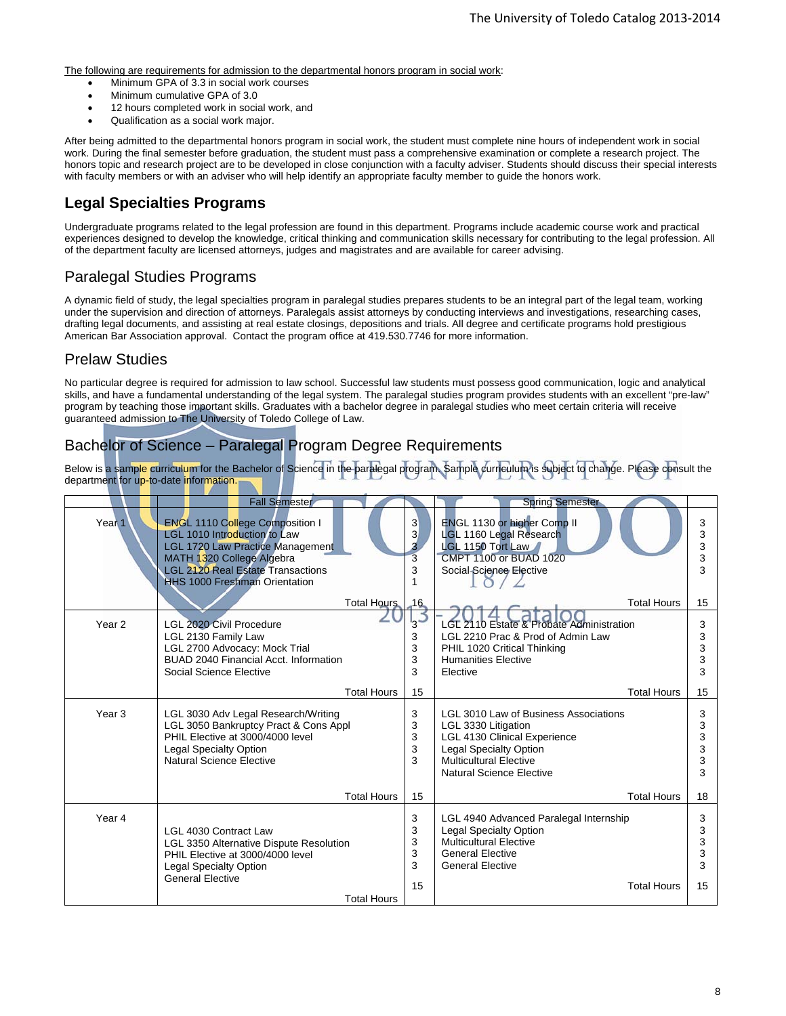The following are requirements for admission to the departmental honors program in social work:

- Minimum GPA of 3.3 in social work courses
- Minimum cumulative GPA of 3.0
- 12 hours completed work in social work, and
- Qualification as a social work major.

After being admitted to the departmental honors program in social work, the student must complete nine hours of independent work in social work. During the final semester before graduation, the student must pass a comprehensive examination or complete a research project. The honors topic and research project are to be developed in close conjunction with a faculty adviser. Students should discuss their special interests with faculty members or with an adviser who will help identify an appropriate faculty member to guide the honors work.

## **Legal Specialties Programs**

Undergraduate programs related to the legal profession are found in this department. Programs include academic course work and practical experiences designed to develop the knowledge, critical thinking and communication skills necessary for contributing to the legal profession. All of the department faculty are licensed attorneys, judges and magistrates and are available for career advising.

### Paralegal Studies Programs

A dynamic field of study, the legal specialties program in paralegal studies prepares students to be an integral part of the legal team, working under the supervision and direction of attorneys. Paralegals assist attorneys by conducting interviews and investigations, researching cases, drafting legal documents, and assisting at real estate closings, depositions and trials. All degree and certificate programs hold prestigious American Bar Association approval. Contact the program office at 419.530.7746 for more information.

### Prelaw Studies

No particular degree is required for admission to law school. Successful law students must possess good communication, logic and analytical skills, and have a fundamental understanding of the legal system. The paralegal studies program provides students with an excellent "pre-law" program by teaching those important skills. Graduates with a bachelor degree in paralegal studies who meet certain criteria will receive guaranteed admission to The University of Toledo College of Law.

### Bachelor of Science – Paralegal Program Degree Requirements

Below is a sample curriculum for the Bachelor of Science in the paralegal program. Sample curriculum is subject to change. Please consult the department for up-to-date information.

|                   | <b>Fall Semester</b>                                                                                                                                                                                                               |                                            | <b>Spring Semester</b>                                                                                                                                                                                   |                             |
|-------------------|------------------------------------------------------------------------------------------------------------------------------------------------------------------------------------------------------------------------------------|--------------------------------------------|----------------------------------------------------------------------------------------------------------------------------------------------------------------------------------------------------------|-----------------------------|
| Year <sub>1</sub> | <b>ENGL 1110 College Composition I</b><br>LGL 1010 Introduction to Law<br><b>LGL 1720 Law Practice Management</b><br>MATH 1320 College Algebra<br><b>LGL 2120 Real Estate Transactions</b><br><b>HHS 1000 Freshman Orientation</b> | $\overline{3}$<br>$\overline{3}$<br>3<br>3 | ENGL 1130 or higher Comp II<br>LGL 1160 Legal Research<br>LGL 1150 Tort Law<br><b>CMPT 1100 or BUAD 1020</b><br>Social Science Elective                                                                  | 3<br>3<br>3<br>3<br>3       |
|                   | Total Hours                                                                                                                                                                                                                        | $-16$                                      | <b>Total Hours</b>                                                                                                                                                                                       | 15                          |
| Year 2            | <b>LGL 2020 Civil Procedure</b><br>LGL 2130 Family Law<br>LGL 2700 Advocacy: Mock Trial<br>BUAD 2040 Financial Acct. Information<br>Social Science Elective                                                                        | '3<br>3<br>3<br>3<br>3                     | <b>LGL 2110 Estate &amp; Probate Administration</b><br>LGL 2210 Prac & Prod of Admin Law<br>PHIL 1020 Critical Thinking<br><b>Humanities Flective</b><br>Elective                                        | 3<br>3<br>3<br>3<br>3       |
|                   | <b>Total Hours</b>                                                                                                                                                                                                                 | 15                                         | <b>Total Hours</b>                                                                                                                                                                                       | 15                          |
| Year <sub>3</sub> | LGL 3030 Adv Legal Research/Writing<br>LGL 3050 Bankruptcy Pract & Cons Appl<br>PHIL Elective at 3000/4000 level<br><b>Legal Specialty Option</b><br>Natural Science Elective                                                      | 3<br>3<br>3<br>3<br>3                      | <b>LGL 3010 Law of Business Associations</b><br>LGL 3330 Litigation<br><b>LGL 4130 Clinical Experience</b><br><b>Legal Specialty Option</b><br><b>Multicultural Elective</b><br>Natural Science Elective | 3<br>3<br>3<br>3<br>3<br>3  |
|                   | <b>Total Hours</b>                                                                                                                                                                                                                 | 15                                         | <b>Total Hours</b>                                                                                                                                                                                       | 18                          |
| Year 4            | LGL 4030 Contract Law<br>LGL 3350 Alternative Dispute Resolution<br>PHIL Elective at 3000/4000 level<br><b>Legal Specialty Option</b><br><b>General Elective</b><br><b>Total Hours</b>                                             | 3<br>3<br>3<br>3<br>3<br>15                | LGL 4940 Advanced Paralegal Internship<br>Legal Specialty Option<br><b>Multicultural Elective</b><br><b>General Elective</b><br><b>General Elective</b><br><b>Total Hours</b>                            | 3<br>3<br>3<br>3<br>3<br>15 |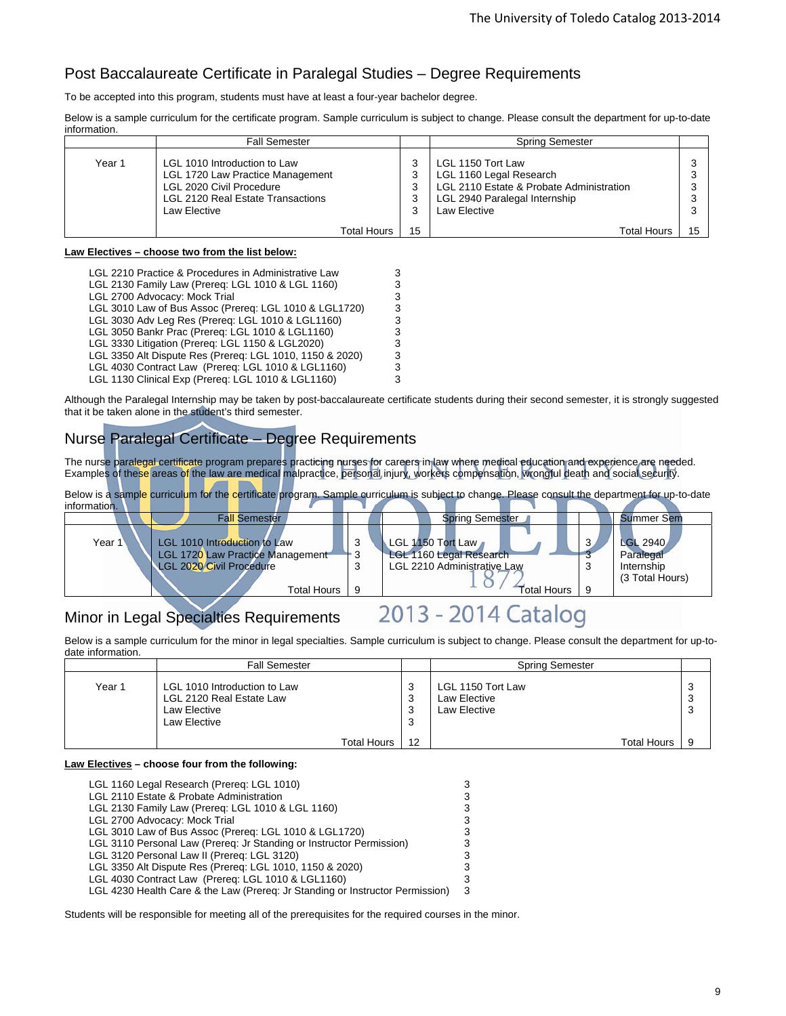# Post Baccalaureate Certificate in Paralegal Studies – Degree Requirements

To be accepted into this program, students must have at least a four-year bachelor degree.

Below is a sample curriculum for the certificate program. Sample curriculum is subject to change. Please consult the department for up-to-date information.

|        | <b>Fall Semester</b>                                                                                                                              |    | <b>Spring Semester</b>                                                                                                                           |    |
|--------|---------------------------------------------------------------------------------------------------------------------------------------------------|----|--------------------------------------------------------------------------------------------------------------------------------------------------|----|
| Year 1 | LGL 1010 Introduction to Law<br>LGL 1720 Law Practice Management<br>LGL 2020 Civil Procedure<br>LGL 2120 Real Estate Transactions<br>Law Elective |    | LGL 1150 Tort Law<br>LGL 1160 Legal Research<br>LGL 2110 Estate & Probate Administration<br>LGL 2940 Paralegal Internship<br><b>Law Elective</b> |    |
|        | Total Hours                                                                                                                                       | 15 | <b>Total Hours</b>                                                                                                                               | 15 |

#### **Law Electives – choose two from the list below:**

| LGL 2210 Practice & Procedures in Administrative Law |
|------------------------------------------------------|
|------------------------------------------------------|

- LGL 2130 Family Law (Prereq: LGL 1010 & LGL 1160) 3
- 
- LGL 2700 Advocacy: Mock Trial 3 LGL 3010 Law of Bus Assoc (Prereq: LGL 1010 & LGL1720)
- LGL 3030 Adv Leg Res (Prereq: LGL 1010 & LGL1160) 3<br>LGL 3050 Bankr Prac (Prereq: LGL 1010 & LGL1160) 3 LGL 3050 Bankr Prac (Prereq: LGL 1010 & LGL1160)
- 
- LGL 3330 Litigation (Prereq: LGL 1150 & LGL2020) 3<br>
LGL 3350 Alt Dispute Res (Prereq: LGL 1010, 1150 & 2020) 3 LGL 3350 Alt Dispute Res (Prereq: LGL 1010, 1150 & 2020)
- LGL 4030 Contract Law (Prereq: LGL 1010 & LGL1160) 3
- LGL 1130 Clinical Exp (Prereq: LGL 1010 & LGL1160) 3

Although the Paralegal Internship may be taken by post-baccalaureate certificate students during their second semester, it is strongly suggested that it be taken alone in the student's third semester.

# Nurse Paralegal Certificate – Degree Requirements

The nurse paralegal certificate program prepares practicing nurses for careers in law where medical education and experience are needed. Examples of these areas of the law are medical malpractice, personal injury, workers compensation, wrongful death and social security.

Below is a sample curriculum for the certificate program. Sample curriculum is subject to change. Please consult the department for up-to-date information.



## Minor in Legal Specialties Requirements

# 2013 - 2014 Catalog

Below is a sample curriculum for the minor in legal specialties. Sample curriculum is subject to change. Please consult the department for up-todate information.

|        | <b>Fall Semester</b>                                                                     |                                    | <b>Spring Semester</b>                            |             |
|--------|------------------------------------------------------------------------------------------|------------------------------------|---------------------------------------------------|-------------|
| Year 1 | LGL 1010 Introduction to Law<br>LGL 2120 Real Estate Law<br>Law Elective<br>Law Elective | P<br>ົ<br>IJ<br>ົ<br>IJ<br>ີ<br>رب | LGL 1150 Tort Law<br>Law Elective<br>Law Elective | 3<br>3<br>3 |
|        | <b>Total Hours</b>                                                                       | 12                                 | <b>Total Hours</b>                                | 9           |

#### **Law Electives – choose four from the following:**

| LGL 1160 Legal Research (Prereg: LGL 1010)                                    | 3 |
|-------------------------------------------------------------------------------|---|
| LGL 2110 Estate & Probate Administration                                      |   |
| LGL 2130 Family Law (Prereg: LGL 1010 & LGL 1160)                             | 3 |
| LGL 2700 Advocacy: Mock Trial                                                 | 3 |
| LGL 3010 Law of Bus Assoc (Prereg: LGL 1010 & LGL1720)                        |   |
| LGL 3110 Personal Law (Prereq: Jr Standing or Instructor Permission)          | з |
| LGL 3120 Personal Law II (Prereq: LGL 3120)                                   | 3 |
| LGL 3350 Alt Dispute Res (Prereq: LGL 1010, 1150 & 2020)                      |   |
| LGL 4030 Contract Law (Prereq: LGL 1010 & LGL1160)                            | 3 |
| LGL 4230 Health Care & the Law (Prereg: Jr Standing or Instructor Permission) | 3 |
|                                                                               |   |

Students will be responsible for meeting all of the prerequisites for the required courses in the minor.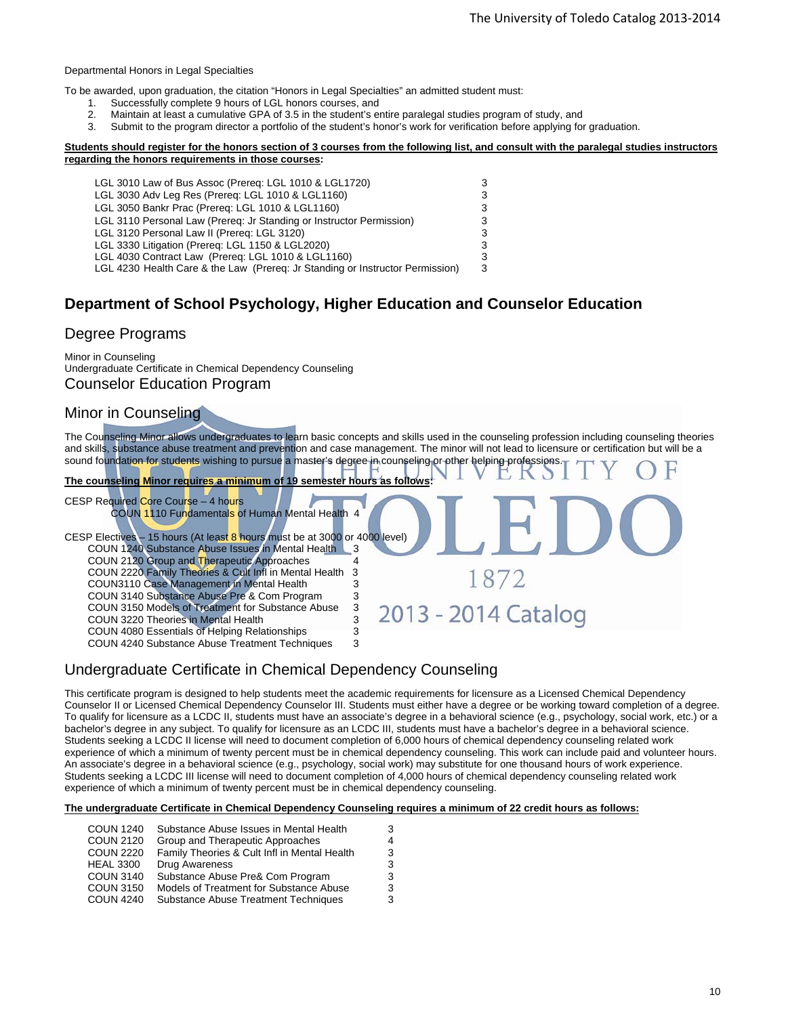#### Departmental Honors in Legal Specialties

To be awarded, upon graduation, the citation "Honors in Legal Specialties" an admitted student must:

- 1. Successfully complete 9 hours of LGL honors courses, and
- 2. Maintain at least a cumulative GPA of 3.5 in the student's entire paralegal studies program of study, and
- Submit to the program director a portfolio of the student's honor's work for verification before applying for graduation.

#### **Students should register for the honors section of 3 courses from the following list, and consult with the paralegal studies instructors regarding the honors requirements in those courses:**

| LGL 3010 Law of Bus Assoc (Prereg: LGL 1010 & LGL1720)                        | 3 |
|-------------------------------------------------------------------------------|---|
| LGL 3030 Adv Leg Res (Prereq: LGL 1010 & LGL1160)                             | 3 |
| LGL 3050 Bankr Prac (Prereg: LGL 1010 & LGL1160)                              | 3 |
| LGL 3110 Personal Law (Prereg: Jr Standing or Instructor Permission)          | 3 |
| LGL 3120 Personal Law II (Prereq: LGL 3120)                                   | 3 |
| LGL 3330 Litigation (Prereq: LGL 1150 & LGL2020)                              | 3 |
| LGL 4030 Contract Law (Prereq: LGL 1010 & LGL1160)                            | 3 |
| LGL 4230 Health Care & the Law (Prereq: Jr Standing or Instructor Permission) | 3 |

### **Department of School Psychology, Higher Education and Counselor Education**

#### Degree Programs

Minor in Counseling Undergraduate Certificate in Chemical Dependency Counseling Counselor Education Program

#### Minor in Counseling

The Counseling Minor allows undergraduates to learn basic concepts and skills used in the counseling profession including counseling theories and skills, substance abuse treatment and prevention and case management. The minor will not lead to licensure or certification but will be a sound foundation for students wishing to pursue a master's degree in counseling or other helping professions.

1872

2013 - 2014 Catalog

**The counseling Minor requires a minimum of 19 semester** CESP Required Core Course – 4 hours

COUN 1110 Fundamentals of Human Mental Health 4

CESP Electives - 15 hours (At least 8 hours must be at 3000 or 4000 level) COUN 1240 Substance Abuse Issues in Mental Health 3 COUN 2120 Group and Therapeutic Approaches 4 COUN 2220 Family Theories & Cult Infl in Mental Health 3 COUN3110 Case Management in Mental Health 3 COUN 3140 Substance Abuse Pre & Com Program 3 COUN 3150 Models of Treatment for Substance Abuse 3 COUN 3220 Theories in Mental Health 3 COUN 4080 Essentials of Helping Relationships 3<br>COUN 4240 Substance Abuse Treatment Techniques 3 COUN 4240 Substance Abuse Treatment Techniques

### Undergraduate Certificate in Chemical Dependency Counseling

This certificate program is designed to help students meet the academic requirements for licensure as a Licensed Chemical Dependency Counselor II or Licensed Chemical Dependency Counselor III. Students must either have a degree or be working toward completion of a degree. To qualify for licensure as a LCDC II, students must have an associate's degree in a behavioral science (e.g., psychology, social work, etc.) or a bachelor's degree in any subject. To qualify for licensure as an LCDC III, students must have a bachelor's degree in a behavioral science. Students seeking a LCDC II license will need to document completion of 6,000 hours of chemical dependency counseling related work experience of which a minimum of twenty percent must be in chemical dependency counseling. This work can include paid and volunteer hours. An associate's degree in a behavioral science (e.g., psychology, social work) may substitute for one thousand hours of work experience. Students seeking a LCDC III license will need to document completion of 4,000 hours of chemical dependency counseling related work experience of which a minimum of twenty percent must be in chemical dependency counseling.

**The undergraduate Certificate in Chemical Dependency Counseling requires a minimum of 22 credit hours as follows:** 

| <b>COUN 1240</b> | Substance Abuse Issues in Mental Health      | 3 |
|------------------|----------------------------------------------|---|
| <b>COUN 2120</b> | Group and Therapeutic Approaches             | 4 |
| <b>COUN 2220</b> | Family Theories & Cult Infl in Mental Health | 3 |
| <b>HEAL 3300</b> | Drug Awareness                               | 3 |
| <b>COUN 3140</b> | Substance Abuse Pre& Com Program             | 3 |
| <b>COUN 3150</b> | Models of Treatment for Substance Abuse      | 3 |
| <b>COUN 4240</b> | Substance Abuse Treatment Techniques         | 3 |
|                  |                                              |   |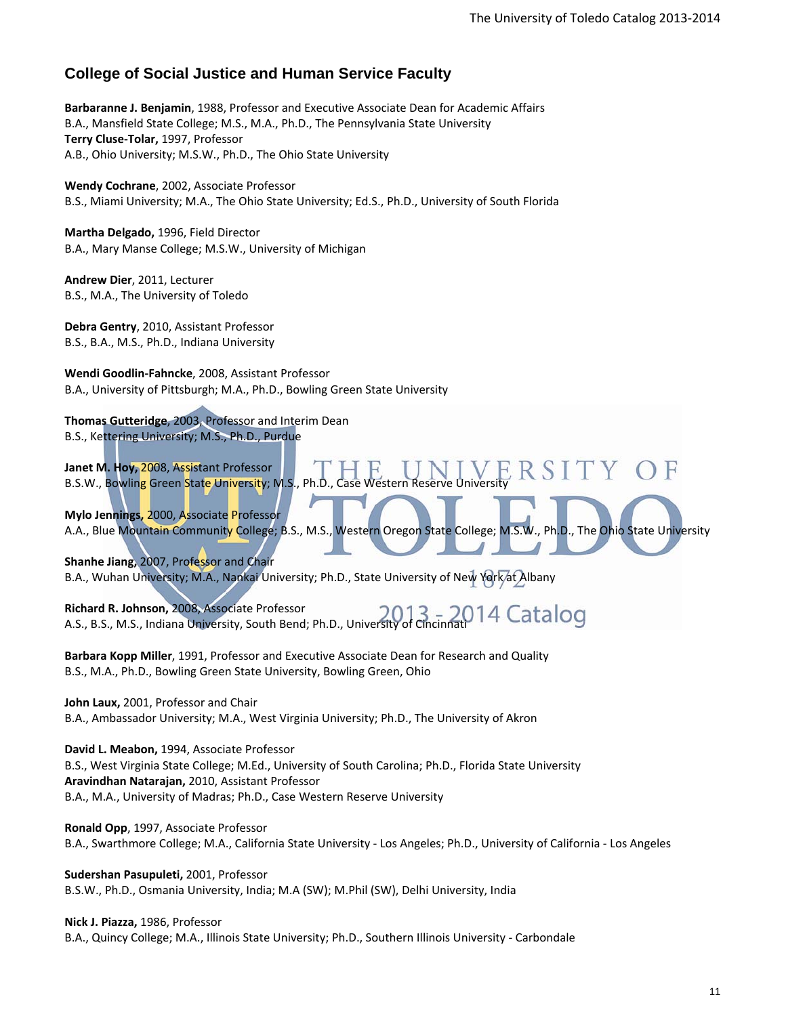### **College of Social Justice and Human Service Faculty**

**Barbaranne J. Benjamin**, 1988, Professor and Executive Associate Dean for Academic Affairs B.A., Mansfield State College; M.S., M.A., Ph.D., The Pennsylvania State University **Terry Cluse‐Tolar,** 1997, Professor A.B., Ohio University; M.S.W., Ph.D., The Ohio State University

**Wendy Cochrane**, 2002, Associate Professor B.S., Miami University; M.A., The Ohio State University; Ed.S., Ph.D., University of South Florida

**Martha Delgado,** 1996, Field Director B.A., Mary Manse College; M.S.W., University of Michigan

**Andrew Dier**, 2011, Lecturer B.S., M.A., The University of Toledo

**Debra Gentry**, 2010, Assistant Professor B.S., B.A., M.S., Ph.D., Indiana University

**Wendi Goodlin‐Fahncke**, 2008, Assistant Professor B.A., University of Pittsburgh; M.A., Ph.D., Bowling Green State University

**Thomas Gutteridge**, 2003, Professor and Interim Dean B.S., Kettering University; M.S., Ph.D., Purdue

**Janet M. Hoy,** 2008, Assistant Professor B.S.W., Bowling Green State University; M.S., Ph.D.

**Mylo Jennings,** 2000, Associate Professor A.A., Blue Mountain Community College; B.S., M.S., Western Oregon State College; M.S.W., Ph.D., The Ohio State University

**Shanhe Jiang,** 2007, Professor and Chair B.A., Wuhan University; M.A., Nankai University; Ph.D., State University of New York at Albany

**Richard R. Johnson,** 2008, Associate Professor A.S., B.S., M.S., Indiana University, South Bend; Ph.D., University of Cincinnati

**Barbara Kopp Miller**, 1991, Professor and Executive Associate Dean for Research and Quality B.S., M.A., Ph.D., Bowling Green State University, Bowling Green, Ohio

**John Laux,** 2001, Professor and Chair B.A., Ambassador University; M.A., West Virginia University; Ph.D., The University of Akron

**David L. Meabon,** 1994, Associate Professor B.S., West Virginia State College; M.Ed., University of South Carolina; Ph.D., Florida State University **Aravindhan Natarajan,** 2010, Assistant Professor B.A., M.A., University of Madras; Ph.D., Case Western Reserve University

**Ronald Opp**, 1997, Associate Professor B.A., Swarthmore College; M.A., California State University ‐ Los Angeles; Ph.D., University of California ‐ Los Angeles

**Sudershan Pasupuleti,** 2001, Professor B.S.W., Ph.D., Osmania University, India; M.A (SW); M.Phil (SW), Delhi University, India

**Nick J. Piazza,** 1986, Professor B.A., Quincy College; M.A., Illinois State University; Ph.D., Southern Illinois University ‐ Carbondale